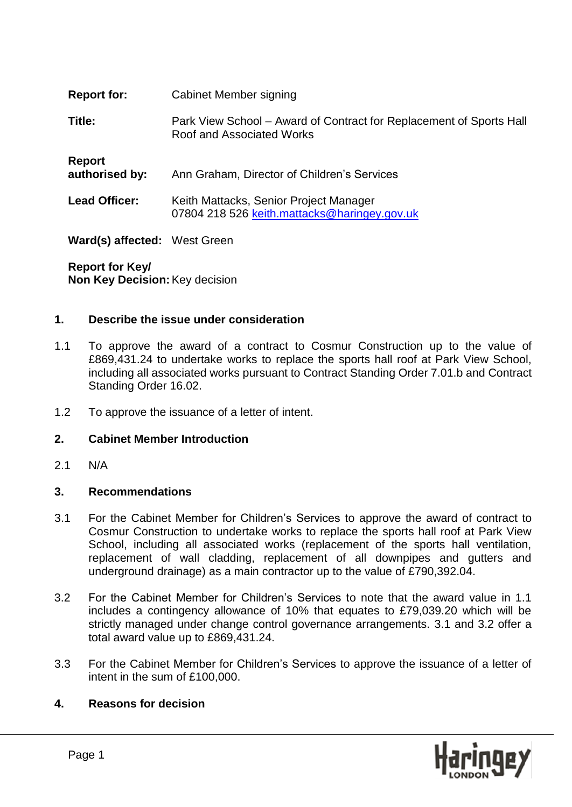| <b>Report for:</b>                  | Cabinet Member signing                                                                           |
|-------------------------------------|--------------------------------------------------------------------------------------------------|
| Title:                              | Park View School – Award of Contract for Replacement of Sports Hall<br>Roof and Associated Works |
| <b>Report</b><br>authorised by:     | Ann Graham, Director of Children's Services                                                      |
| <b>Lead Officer:</b>                | Keith Mattacks, Senior Project Manager<br>07804 218 526 keith.mattacks@haringey.gov.uk           |
| <b>Ward(s) affected:</b> West Green |                                                                                                  |

**Report for Key/ Non Key Decision:**Key decision

### **1. Describe the issue under consideration**

- 1.1 To approve the award of a contract to Cosmur Construction up to the value of £869,431.24 to undertake works to replace the sports hall roof at Park View School, including all associated works pursuant to Contract Standing Order 7.01.b and Contract Standing Order 16.02.
- 1.2 To approve the issuance of a letter of intent.

#### **2. Cabinet Member Introduction**

2.1 N/A

#### **3. Recommendations**

- 3.1 For the Cabinet Member for Children's Services to approve the award of contract to Cosmur Construction to undertake works to replace the sports hall roof at Park View School, including all associated works (replacement of the sports hall ventilation, replacement of wall cladding, replacement of all downpipes and gutters and underground drainage) as a main contractor up to the value of £790,392.04.
- 3.2 For the Cabinet Member for Children's Services to note that the award value in 1.1 includes a contingency allowance of 10% that equates to £79,039.20 which will be strictly managed under change control governance arrangements. 3.1 and 3.2 offer a total award value up to £869,431.24.
- 3.3 For the Cabinet Member for Children's Services to approve the issuance of a letter of intent in the sum of £100,000.

#### **4. Reasons for decision**

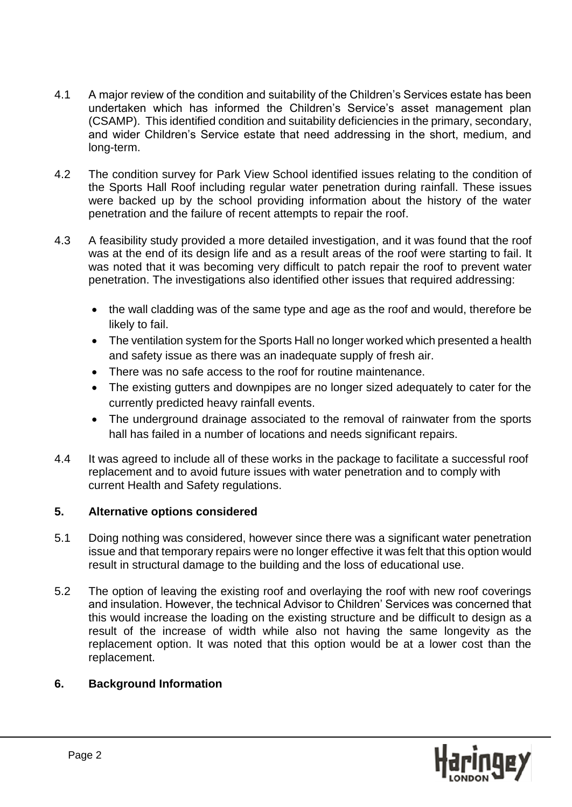- 4.1 A major review of the condition and suitability of the Children's Services estate has been undertaken which has informed the Children's Service's asset management plan (CSAMP). This identified condition and suitability deficiencies in the primary, secondary, and wider Children's Service estate that need addressing in the short, medium, and long-term.
- 4.2 The condition survey for Park View School identified issues relating to the condition of the Sports Hall Roof including regular water penetration during rainfall. These issues were backed up by the school providing information about the history of the water penetration and the failure of recent attempts to repair the roof.
- 4.3 A feasibility study provided a more detailed investigation, and it was found that the roof was at the end of its design life and as a result areas of the roof were starting to fail. It was noted that it was becoming very difficult to patch repair the roof to prevent water penetration. The investigations also identified other issues that required addressing:
	- the wall cladding was of the same type and age as the roof and would, therefore be likely to fail.
	- The ventilation system for the Sports Hall no longer worked which presented a health and safety issue as there was an inadequate supply of fresh air.
	- There was no safe access to the roof for routine maintenance.
	- The existing gutters and downpipes are no longer sized adequately to cater for the currently predicted heavy rainfall events.
	- The underground drainage associated to the removal of rainwater from the sports hall has failed in a number of locations and needs significant repairs.
- 4.4 It was agreed to include all of these works in the package to facilitate a successful roof replacement and to avoid future issues with water penetration and to comply with current Health and Safety regulations.

## **5. Alternative options considered**

- 5.1 Doing nothing was considered, however since there was a significant water penetration issue and that temporary repairs were no longer effective it was felt that this option would result in structural damage to the building and the loss of educational use.
- 5.2 The option of leaving the existing roof and overlaying the roof with new roof coverings and insulation. However, the technical Advisor to Children' Services was concerned that this would increase the loading on the existing structure and be difficult to design as a result of the increase of width while also not having the same longevity as the replacement option. It was noted that this option would be at a lower cost than the replacement.

## **6. Background Information**

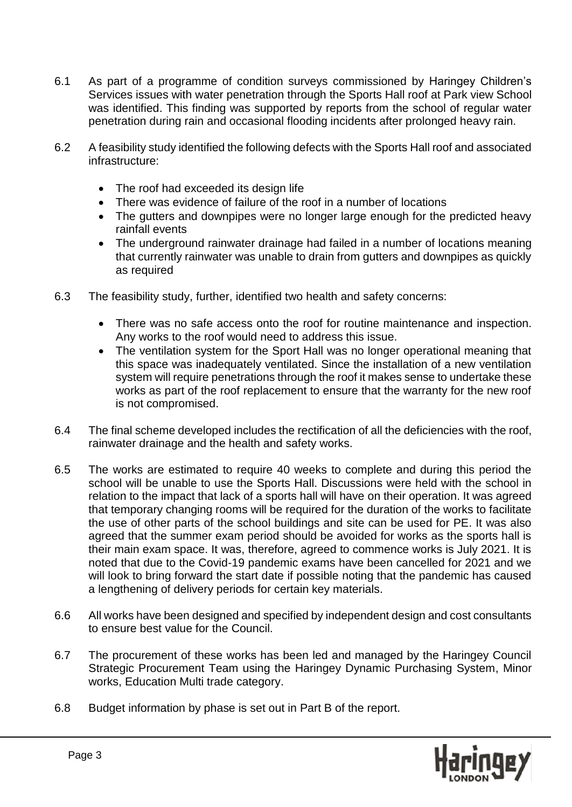- 6.1 As part of a programme of condition surveys commissioned by Haringey Children's Services issues with water penetration through the Sports Hall roof at Park view School was identified. This finding was supported by reports from the school of regular water penetration during rain and occasional flooding incidents after prolonged heavy rain.
- 6.2 A feasibility study identified the following defects with the Sports Hall roof and associated infrastructure:
	- The roof had exceeded its design life
	- There was evidence of failure of the roof in a number of locations
	- The gutters and downpipes were no longer large enough for the predicted heavy rainfall events
	- The underground rainwater drainage had failed in a number of locations meaning that currently rainwater was unable to drain from gutters and downpipes as quickly as required
- 6.3 The feasibility study, further, identified two health and safety concerns:
	- There was no safe access onto the roof for routine maintenance and inspection. Any works to the roof would need to address this issue.
	- The ventilation system for the Sport Hall was no longer operational meaning that this space was inadequately ventilated. Since the installation of a new ventilation system will require penetrations through the roof it makes sense to undertake these works as part of the roof replacement to ensure that the warranty for the new roof is not compromised.
- 6.4 The final scheme developed includes the rectification of all the deficiencies with the roof, rainwater drainage and the health and safety works.
- 6.5 The works are estimated to require 40 weeks to complete and during this period the school will be unable to use the Sports Hall. Discussions were held with the school in relation to the impact that lack of a sports hall will have on their operation. It was agreed that temporary changing rooms will be required for the duration of the works to facilitate the use of other parts of the school buildings and site can be used for PE. It was also agreed that the summer exam period should be avoided for works as the sports hall is their main exam space. It was, therefore, agreed to commence works is July 2021. It is noted that due to the Covid-19 pandemic exams have been cancelled for 2021 and we will look to bring forward the start date if possible noting that the pandemic has caused a lengthening of delivery periods for certain key materials.
- 6.6 All works have been designed and specified by independent design and cost consultants to ensure best value for the Council.
- 6.7 The procurement of these works has been led and managed by the Haringey Council Strategic Procurement Team using the Haringey Dynamic Purchasing System, Minor works, Education Multi trade category.
- 6.8 Budget information by phase is set out in Part B of the report.

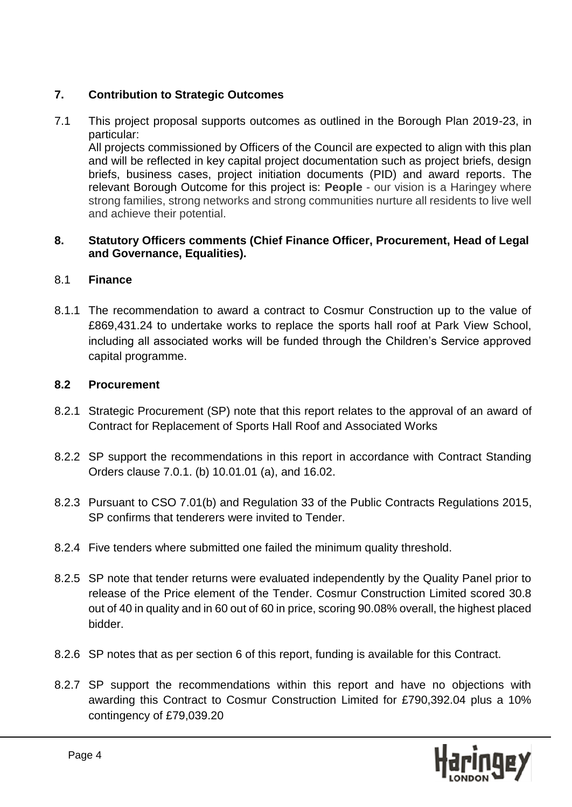# **7. Contribution to Strategic Outcomes**

7.1 This project proposal supports outcomes as outlined in the Borough Plan 2019-23, in particular:

All projects commissioned by Officers of the Council are expected to align with this plan and will be reflected in key capital project documentation such as project briefs, design briefs, business cases, project initiation documents (PID) and award reports. The relevant Borough Outcome for this project is: **People** - our vision is a Haringey where strong families, strong networks and strong communities nurture all residents to live well and achieve their potential.

### **8. Statutory Officers comments (Chief Finance Officer, Procurement, Head of Legal and Governance, Equalities).**

# 8.1 **Finance**

8.1.1 The recommendation to award a contract to Cosmur Construction up to the value of £869,431.24 to undertake works to replace the sports hall roof at Park View School, including all associated works will be funded through the Children's Service approved capital programme.

## **8.2 Procurement**

- 8.2.1 Strategic Procurement (SP) note that this report relates to the approval of an award of Contract for Replacement of Sports Hall Roof and Associated Works
- 8.2.2 SP support the recommendations in this report in accordance with Contract Standing Orders clause 7.0.1. (b) 10.01.01 (a), and 16.02.
- 8.2.3 Pursuant to CSO 7.01(b) and Regulation 33 of the Public Contracts Regulations 2015, SP confirms that tenderers were invited to Tender.
- 8.2.4 Five tenders where submitted one failed the minimum quality threshold.
- 8.2.5 SP note that tender returns were evaluated independently by the Quality Panel prior to release of the Price element of the Tender. Cosmur Construction Limited scored 30.8 out of 40 in quality and in 60 out of 60 in price, scoring 90.08% overall, the highest placed bidder.
- 8.2.6 SP notes that as per section 6 of this report, funding is available for this Contract.
- 8.2.7 SP support the recommendations within this report and have no objections with awarding this Contract to Cosmur Construction Limited for £790,392.04 plus a 10% contingency of £79,039.20

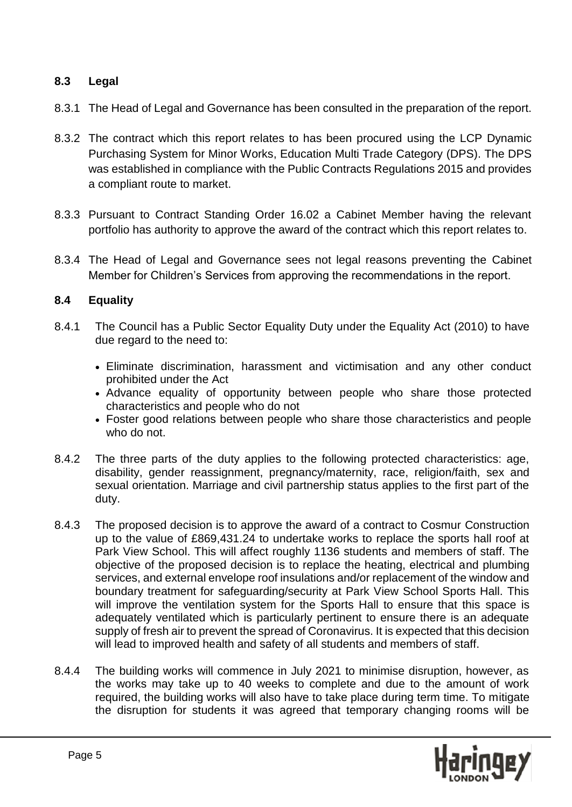# **8.3 Legal**

- 8.3.1 The Head of Legal and Governance has been consulted in the preparation of the report.
- 8.3.2 The contract which this report relates to has been procured using the LCP Dynamic Purchasing System for Minor Works, Education Multi Trade Category (DPS). The DPS was established in compliance with the Public Contracts Regulations 2015 and provides a compliant route to market.
- 8.3.3 Pursuant to Contract Standing Order 16.02 a Cabinet Member having the relevant portfolio has authority to approve the award of the contract which this report relates to.
- 8.3.4 The Head of Legal and Governance sees not legal reasons preventing the Cabinet Member for Children's Services from approving the recommendations in the report.

### **8.4 Equality**

- 8.4.1 The Council has a Public Sector Equality Duty under the Equality Act (2010) to have due regard to the need to:
	- Eliminate discrimination, harassment and victimisation and any other conduct prohibited under the Act
	- Advance equality of opportunity between people who share those protected characteristics and people who do not
	- Foster good relations between people who share those characteristics and people who do not.
- 8.4.2 The three parts of the duty applies to the following protected characteristics: age, disability, gender reassignment, pregnancy/maternity, race, religion/faith, sex and sexual orientation. Marriage and civil partnership status applies to the first part of the duty.
- 8.4.3 The proposed decision is to approve the award of a contract to Cosmur Construction up to the value of £869,431.24 to undertake works to replace the sports hall roof at Park View School. This will affect roughly 1136 students and members of staff. The objective of the proposed decision is to replace the heating, electrical and plumbing services, and external envelope roof insulations and/or replacement of the window and boundary treatment for safeguarding/security at Park View School Sports Hall. This will improve the ventilation system for the Sports Hall to ensure that this space is adequately ventilated which is particularly pertinent to ensure there is an adequate supply of fresh air to prevent the spread of Coronavirus. It is expected that this decision will lead to improved health and safety of all students and members of staff.
- 8.4.4 The building works will commence in July 2021 to minimise disruption, however, as the works may take up to 40 weeks to complete and due to the amount of work required, the building works will also have to take place during term time. To mitigate the disruption for students it was agreed that temporary changing rooms will be